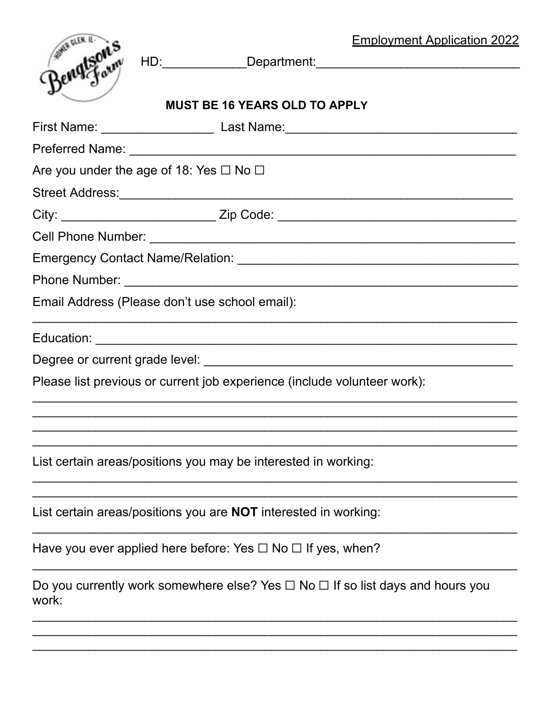|                                                                          |  |                                                                                          | <b>Employment Application 2022</b> |  |  |
|--------------------------------------------------------------------------|--|------------------------------------------------------------------------------------------|------------------------------------|--|--|
| Beny Four                                                                |  |                                                                                          |                                    |  |  |
|                                                                          |  |                                                                                          |                                    |  |  |
| <b>MUST BE 16 YEARS OLD TO APPLY</b>                                     |  |                                                                                          |                                    |  |  |
|                                                                          |  | First Name: _______________________ Last Name:__________________________________         |                                    |  |  |
|                                                                          |  |                                                                                          |                                    |  |  |
| Are you under the age of 18: Yes $\Box$ No $\Box$                        |  |                                                                                          |                                    |  |  |
|                                                                          |  |                                                                                          |                                    |  |  |
|                                                                          |  | City: ________________________________Zip Code: ________________________________         |                                    |  |  |
|                                                                          |  |                                                                                          |                                    |  |  |
|                                                                          |  |                                                                                          |                                    |  |  |
|                                                                          |  |                                                                                          |                                    |  |  |
|                                                                          |  | Email Address (Please don't use school email):                                           |                                    |  |  |
|                                                                          |  |                                                                                          |                                    |  |  |
|                                                                          |  |                                                                                          |                                    |  |  |
| Please list previous or current job experience (include volunteer work): |  |                                                                                          |                                    |  |  |
|                                                                          |  |                                                                                          |                                    |  |  |
|                                                                          |  | List certain areas/positions you may be interested in working:                           |                                    |  |  |
|                                                                          |  | List certain areas/positions you are <b>NOT</b> interested in working:                   |                                    |  |  |
|                                                                          |  | Have you ever applied here before: Yes $\Box$ No $\Box$ If yes, when?                    |                                    |  |  |
| work:                                                                    |  | Do you currently work somewhere else? Yes $\Box$ No $\Box$ If so list days and hours you |                                    |  |  |
|                                                                          |  |                                                                                          |                                    |  |  |